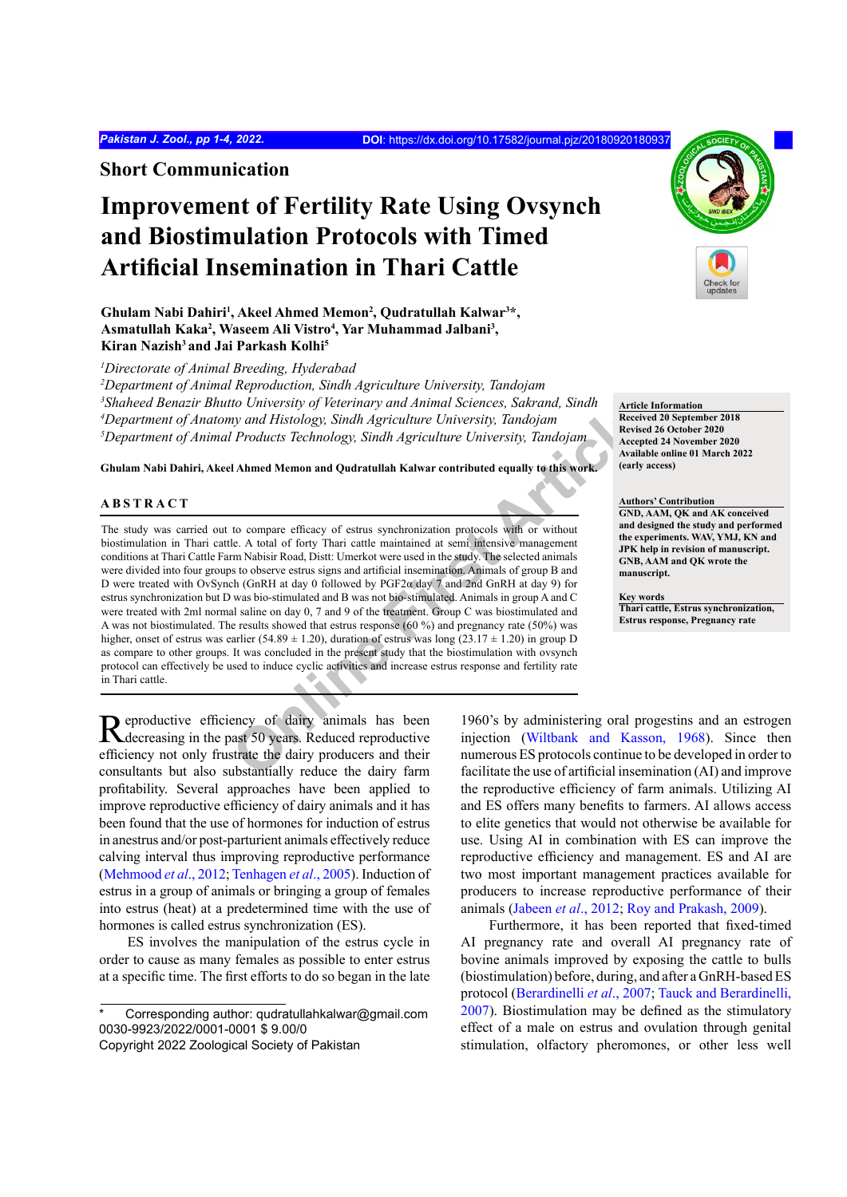**Short Communication**

# **Improvement of Fertility Rate Using Ovsynch and Biostimulation Protocols with Timed Artificial Insemination in Thari Cattle**

Ghulam Nabi Dahiri<sup>1</sup>, Akeel Ahmed Memon<sup>2</sup>, Qudratullah Kalwar<sup>3\*</sup>, **Asmatullah Kaka2 , Waseem Ali Vistro4 , Yar Muhammad Jalbani3 , Kiran Nazish3 and Jai Parkash Kolhi5**

*1 Directorate of Animal Breeding, Hyderabad*

 *Department of Animal Reproduction, Sindh Agriculture University, Tandojam Shaheed Benazir Bhutto University of Veterinary and Animal Sciences, Sakrand, Sindh Department of Anatomy and Histology, Sindh Agriculture University, Tandojam Department of Animal Products Technology, Sindh Agriculture University, Tandojam*

**Ghulam Nabi Dahiri, Akeel Ahmed Memon and Qudratullah Kalwar contributed equally to this work.**

# **ABSTRACT**

In Only extrained Histology, Sindh Agriculture University, Jandian Steel and Histology, Sindh Agriculture University, Tandojam<br>
In Products Technology, Sindh Agriculture University, Tandojam<br>
Ahmed Memon and Qudratullah Ka The study was carried out to compare efficacy of estrus synchronization protocols with or without biostimulation in Thari cattle. A total of forty Thari cattle maintained at semi intensive management conditions at Thari Cattle Farm Nabisir Road, Distt: Umerkot were used in the study. The selected animals were divided into four groups to observe estrus signs and artificial insemination. Animals of group B and D were treated with OvSynch (GnRH at day 0 followed by PGF2α day 7 and 2nd GnRH at day 9) for estrus synchronization but D was bio-stimulated and B was not bio-stimulated. Animals in group A and C were treated with 2ml normal saline on day 0, 7 and 9 of the treatment. Group C was biostimulated and A was not biostimulated. The results showed that estrus response (60 %) and pregnancy rate (50%) was higher, onset of estrus was earlier (54.89  $\pm$  1.20), duration of estrus was long (23.17  $\pm$  1.20) in group D as compare to other groups. It was concluded in the present study that the biostimulation with ovsynch protocol can effectively be used to induce cyclic activities and increase estrus response and fertility rate in Thari cattle.

Reproductive efficiency of dairy animals has been Reduced reproductive efficiency of dairy animals has been efficiency not only frustrate the dairy producers and their consultants but also substantially reduce the dairy farm profitability. Several approaches have been applied to improve reproductive efficiency of dairy animals and it has been found that the use of hormones for induction of estrus in anestrus and/or post-parturient animals effectively reduce calving interval thus improving reproductive performance ([Mehmood](#page-3-0) *et al*., 2012; [Tenhagen](#page-3-1) *et al*., 2005). Induction of estrus in a group of animals or bringing a group of females into estrus (heat) at a predetermined time with the use of hormones is called estrus synchronization (ES).

ES involves the manipulation of the estrus cycle in order to cause as many females as possible to enter estrus at a specific time. The first efforts to do so began in the late



**Article Information Received 20 September 2018** 

**Revised 26 October 2020 Accepted 24 November 2020 Available online 01 March 2022 (early access)**

**Authors' Contribution GND, AAM, QK and AK conceived and designed the study and performed the experiments. WAV, YMJ, KN and JPK help in revision of manuscript. GNB, AAM and QK wrote the manuscript.**

**Key words Thari cattle, Estrus synchronization, Estrus response, Pregnancy rate**

1960's by administering oral progestins and an estrogen injection ([Wiltbank and Kasson, 1968\)](#page-3-2). Since then numerous ES protocols continue to be developed in order to facilitate the use of artificial insemination (AI) and improve the reproductive efficiency of farm animals. Utilizing AI and ES offers many benefits to farmers. AI allows access to elite genetics that would not otherwise be available for use. Using AI in combination with ES can improve the reproductive efficiency and management. ES and AI are two most important management practices available for producers to increase reproductive performance of their animals ([Jabeen](#page-3-3) *et al*., 2012; [Roy and Prakash, 2009\)](#page-3-4).

Furthermore, it has been reported that fixed-timed AI pregnancy rate and overall AI pregnancy rate of bovine animals improved by exposing the cattle to bulls (biostimulation) before, during, and after a GnRH-based ES protocol ([Berardinelli](#page-3-5) *et al*., 2007; [Tauck and Berardinelli,](#page-3-6) [2007\)](#page-3-6). Biostimulation may be defined as the stimulatory effect of a male on estrus and ovulation through genital stimulation, olfactory pheromones, or other less well

Corresponding author: qudratullahkalwar@gmail.com 0030-9923/2022/0001-0001 \$ 9.00/0

Copyright 2022 Zoological Society of Pakistan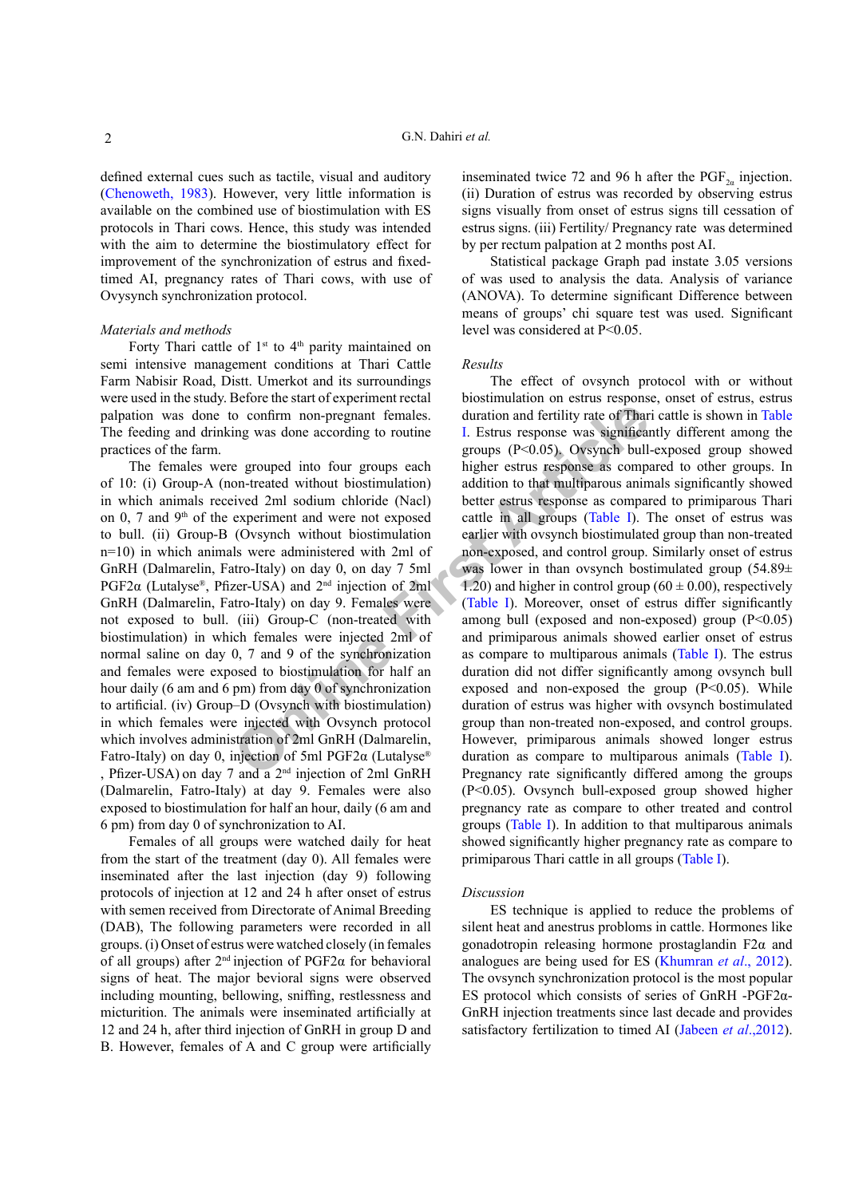defined external cues such as tactile, visual and auditory [\(Chenoweth, 1983\)](#page-3-7). However, very little information is available on the combined use of biostimulation with ES protocols in Thari cows. Hence, this study was intended with the aim to determine the biostimulatory effect for improvement of the synchronization of estrus and fixedtimed AI, pregnancy rates of Thari cows, with use of Ovysynch synchronization protocol.

#### *Materials and methods*

Forty Thari cattle of  $1<sup>st</sup>$  to  $4<sup>th</sup>$  parity maintained on semi intensive management conditions at Thari Cattle Farm Nabisir Road, Distt. Umerkot and its surroundings were used in the study. Before the start of experiment rectal palpation was done to confirm non-pregnant females. The feeding and drinking was done according to routine practices of the farm.

The females were grouped into four groups each of 10: (i) Group-A (non-treated without biostimulation) in which animals received 2ml sodium chloride (Nacl) on 0, 7 and  $9<sup>th</sup>$  of the experiment and were not exposed to bull. (ii) Group-B (Ovsynch without biostimulation n=10) in which animals were administered with 2ml of GnRH (Dalmarelin, Fatro-Italy) on day 0, on day 7 5ml PGF2 $\alpha$  (Lutalyse®, Pfizer-USA) and  $2<sup>nd</sup>$  injection of 2ml GnRH (Dalmarelin, Fatro-Italy) on day 9. Females were not exposed to bull. (iii) Group-C (non-treated with biostimulation) in which females were injected 2ml of normal saline on day 0, 7 and 9 of the synchronization and females were exposed to biostimulation for half an hour daily (6 am and 6 pm) from day 0 of synchronization to artificial. (iv) Group–D (Ovsynch with biostimulation) in which females were injected with Ovsynch protocol which involves administration of 2ml GnRH (Dalmarelin, Fatro-Italy) on day 0, injection of 5ml PGF2α (Lutalyse® , Pfizer-USA) on day 7 and a  $2<sup>nd</sup>$  injection of 2ml GnRH (Dalmarelin, Fatro-Italy) at day 9. Females were also exposed to biostimulation for half an hour, daily (6 am and 6 pm) from day 0 of synchronization to AI.

Females of all groups were watched daily for heat from the start of the treatment (day 0). All females were inseminated after the last injection (day 9) following protocols of injection at 12 and 24 h after onset of estrus with semen received from Directorate of Animal Breeding (DAB), The following parameters were recorded in all groups. (i) Onset of estrus were watched closely (in females of all groups) after  $2<sup>nd</sup>$  injection of PGF2 $\alpha$  for behavioral signs of heat. The major bevioral signs were observed including mounting, bellowing, sniffing, restlessness and micturition. The animals were inseminated artificially at 12 and 24 h, after third injection of GnRH in group D and B. However, females of A and C group were artificially

inseminated twice 72 and 96 h after the PGF<sub>2a</sub> injection. (ii) Duration of estrus was recorded by observing estrus signs visually from onset of estrus signs till cessation of estrus signs. (iii) Fertility/ Pregnancy rate was determined by per rectum palpation at 2 months post AI.

Statistical package Graph pad instate 3.05 versions of was used to analysis the data. Analysis of variance (ANOVA). To determine significant Difference between means of groups' chi square test was used. Significant level was considered at P<0.05.

## *Results*

**CONFIFY 10** on the strain and the strain and the strain and the strain and the strain and the strain and the strain and the strain and the strain are according to routine and the strain and the multiplare are strained wi The effect of ovsynch protocol with or without biostimulation on estrus response, onset of estrus, estrus duration and fertility rate of Thari cattle is shown in [Table](#page-2-0) I. Estrus response was significantly different among the groups (P<0.05). Ovsynch bull-exposed group showed higher estrus response as compared to other groups. In addition to that multiparous animals significantly showed better estrus response as compared to primiparous Thari cattle in all groups (Table I). The onset of estrus was earlier with ovsynch biostimulated group than non-treated non-exposed, and control group. Similarly onset of estrus was lower in than ovsynch bostimulated group (54.89± 1.20) and higher in control group  $(60 \pm 0.00)$ , respectively (Table I). Moreover, onset of estrus differ significantly among bull (exposed and non-exposed) group  $(P<0.05)$ and primiparous animals showed earlier onset of estrus as compare to multiparous animals [\(Table I](#page-2-0)). The estrus duration did not differ significantly among ovsynch bull exposed and non-exposed the group  $(P<0.05)$ . While duration of estrus was higher with ovsynch bostimulated group than non-treated non-exposed, and control groups. However, primiparous animals showed longer estrus duration as compare to multiparous animals ([Table I](#page-2-0)). Pregnancy rate significantly differed among the groups (P<0.05). Ovsynch bull-exposed group showed higher pregnancy rate as compare to other treated and control groups ([Table I](#page-2-0)). In addition to that multiparous animals showed significantly higher pregnancy rate as compare to primiparous Thari cattle in all groups ([Table I](#page-2-0)).

#### *Discussion*

ES technique is applied to reduce the problems of silent heat and anestrus probloms in cattle. Hormones like gonadotropin releasing hormone prostaglandin F2α and analogues are being used for ES ([Khumran](#page-3-8) *et al*., 2012). The ovsynch synchronization protocol is the most popular ES protocol which consists of series of GnRH -PGF2α-GnRH injection treatments since last decade and provides satisfactory fertilization to timed AI ([Jabeen](#page-3-3) *et al*.,2012).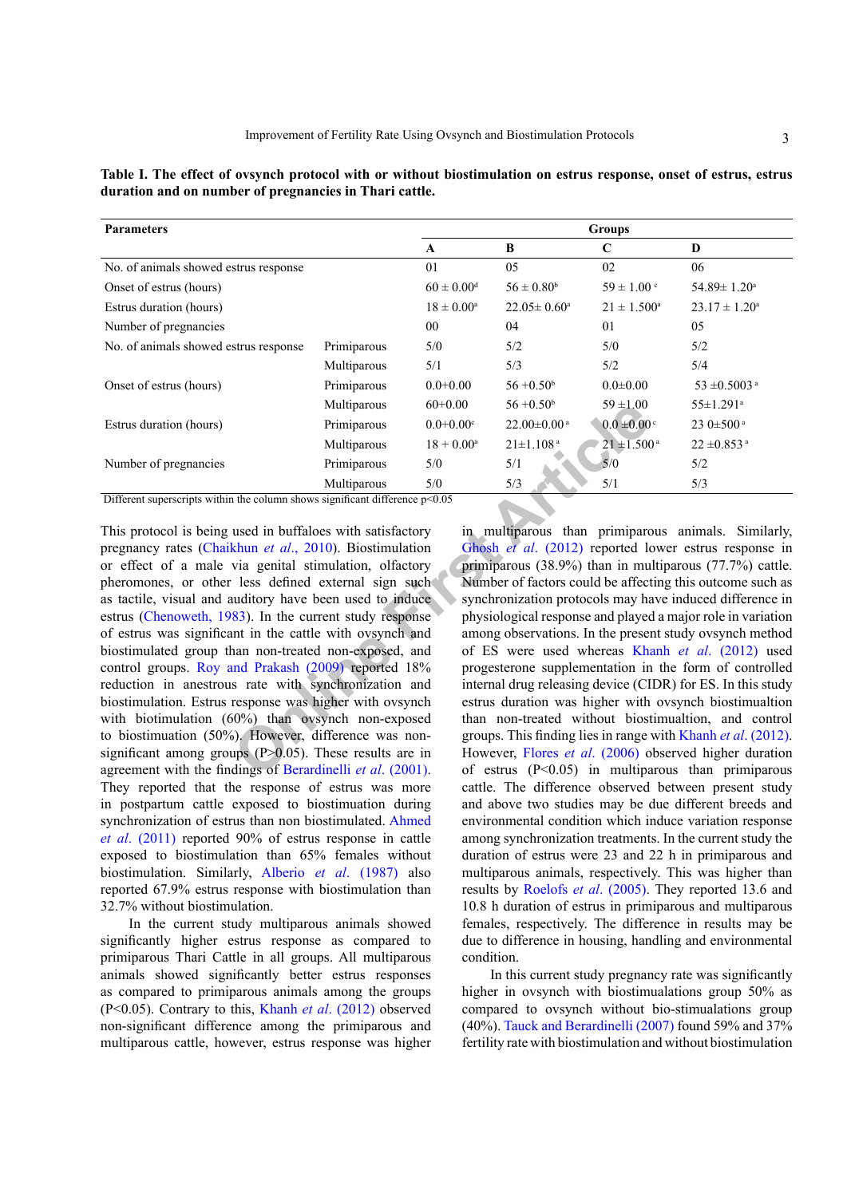| <b>Parameters</b>                     | <b>Groups</b> |                            |                               |                             |                             |
|---------------------------------------|---------------|----------------------------|-------------------------------|-----------------------------|-----------------------------|
|                                       |               | A                          | B                             | $\mathbf C$                 | D                           |
| No. of animals showed estrus response |               | 01                         | 05                            | 02                          | 06                          |
| Onset of estrus (hours)               |               | $60 \pm 0.00$ <sup>d</sup> | $56 \pm 0.80^{\rm b}$         | $59 \pm 1.00$ c             | $54.89 \pm 1.20^{\circ}$    |
| Estrus duration (hours)               |               | $18 \pm 0.00^{\rm a}$      | $22.05 \pm 0.60^{\circ}$      | $21 \pm 1.500^{\circ}$      | $23.17 \pm 1.20^{\circ}$    |
| Number of pregnancies                 |               | $00\,$                     | 04                            | 01                          | 05                          |
| No. of animals showed estrus response | Primiparous   | 5/0                        | 5/2                           | 5/0                         | 5/2                         |
|                                       | Multiparous   | 5/1                        | 5/3                           | 5/2                         | 5/4                         |
| Onset of estrus (hours)               | Primiparous   | $0.0 + 0.00$               | $56 + 0.50$                   | $0.0 \pm 0.00$              | 53 $\pm$ 0.5003 a           |
|                                       | Multiparous   | $60+0.00$                  | $56 + 0.50$                   | $59 + 1.00$                 | $55 \pm 1.291$ <sup>a</sup> |
| Estrus duration (hours)               | Primiparous   | $0.0 + 0.00$ <sup>c</sup>  | $22.00 \pm 0.00$ <sup>a</sup> | $0.0 \pm 0.00$ <sup>c</sup> | $23.0 \pm 500$ <sup>a</sup> |
|                                       | Multiparous   | $18 + 0.00^a$              | $21 \pm 1.108$ <sup>a</sup>   | $21 \pm 1.500^{\text{a}}$   | $22 \pm 0.853$ <sup>a</sup> |
| Number of pregnancies                 | Primiparous   | 5/0                        | 5/1                           | 5/0                         | 5/2                         |
|                                       | Multiparous   | 5/0                        | 5/3                           | 5/1                         | 5/3                         |

<span id="page-2-0"></span>**Table I. The effect of ovsynch protocol with or without biostimulation on estrus response, onset of estrus, estrus duration and on number of pregnancies in Thari cattle.**

Different superscripts within the column shows significant difference  $p<0.05$ 

Multiparous  $60+0.00$   $56+0.50$   $99+1.00$ <br>
Primiparous  $18+0.00$   $22.00+0.00$   $0.0+0.00$ <br>
Multiparous  $18+0.00$   $21\pm1.108$ <br>
Primiparous  $5/0$   $5/1$   $5/0$ <br>
The column shows significant difference  $p<0.05$ <br>
and in Utilian This protocol is being used in buffaloes with satisfactory pregnancy rates (Chaikhun *et al*., 2010). Biostimulation or effect of a male via genital stimulation, olfactory pheromones, or other less defined external sign such as tactile, visual and auditory have been used to induce estrus [\(Chenoweth, 1983\)](#page-3-7). In the current study response of estrus was significant in the cattle with ovsynch and biostimulated group than non-treated non-exposed, and control groups. [Roy and Prakash \(2009\)](#page-3-4) reported 18% reduction in anestrous rate with synchronization and biostimulation. Estrus response was higher with ovsynch with biotimulation (60%) than ovsynch non-exposed to biostimuation (50%). However, difference was nonsignificant among groups  $(P>0.05)$ . These results are in agreement with the findings of Berardinelli *et al*. (2001). They reported that the response of estrus was more in postpartum cattle exposed to biostimuation during synchronization of estrus than non biostimulated. [Ahmed](#page-3-11) *et al*[. \(2011\)](#page-3-11) reported 90% of estrus response in cattle exposed to biostimulation than 65% females without biostimulation. Similarly, Alberio *et al*[. \(1987\)](#page-3-12) also reported 67.9% estrus response with biostimulation than 32.7% without biostimulation.

In the current study multiparous animals showed significantly higher estrus response as compared to primiparous Thari Cattle in all groups. All multiparous animals showed significantly better estrus responses as compared to primiparous animals among the groups (P<0.05). Contrary to this, Khanh *et al*[. \(2012\)](#page-3-13) observed non-significant difference among the primiparous and multiparous cattle, however, estrus response was higher

in multiparous than primiparous animals. Similarly, Ghosh *et al*. (2012) reported lower estrus response in primiparous (38.9%) than in multiparous (77.7%) cattle. Number of factors could be affecting this outcome such as synchronization protocols may have induced difference in physiological response and played a major role in variation among observations. In the present study ovsynch method of ES were used whereas Khanh *et al*[. \(2012\)](#page-3-13) used progesterone supplementation in the form of controlled internal drug releasing device (CIDR) for ES. In this study estrus duration was higher with ovsynch biostimualtion than non-treated without biostimualtion, and control groups. This finding lies in range with Khanh *et al*[. \(2012\).](#page-3-13) However, Flores *et al*. (2006) observed higher duration of estrus  $(P<0.05)$  in multiparous than primiparous cattle. The difference observed between present study and above two studies may be due different breeds and environmental condition which induce variation response among synchronization treatments. In the current study the duration of estrus were 23 and 22 h in primiparous and multiparous animals, respectively. This was higher than results by [Roelofs](#page-3-16) *et al*. (2005). They reported 13.6 and 10.8 h duration of estrus in primiparous and multiparous females, respectively. The difference in results may be due to difference in housing, handling and environmental condition.

In this current study pregnancy rate was significantly higher in ovsynch with biostimualations group 50% as compared to ovsynch without bio-stimualations group (40%). [Tauck and Berardinelli \(2007\)](#page-3-6) found 59% and 37% fertility rate with biostimulation and without biostimulation